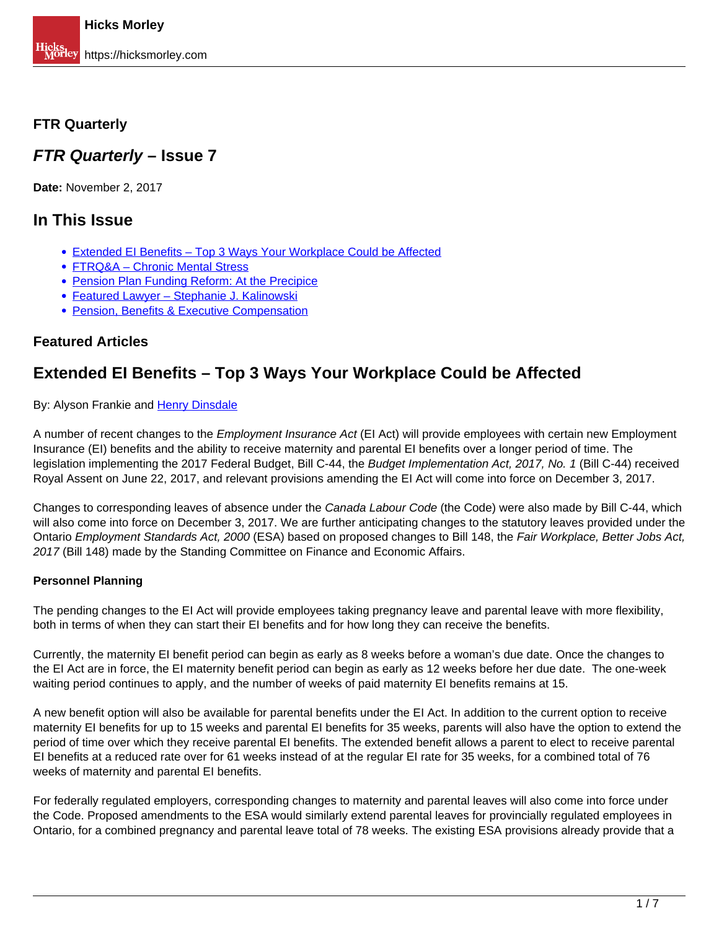### <span id="page-0-0"></span>**FTR Quarterly**

## **FTR Quarterly – Issue 7**

**Date:** November 2, 2017

## **In This Issue**

- [Extended EI Benefits Top 3 Ways Your Workplace Could be Affected](#page-0-0)
- FTRQ&A Chronic Mental Stress
- Pension Plan Funding Reform: At the Precipice
- Featured Lawyer Stephanie J. Kalinowski
- **Pension, Benefits & Executive Compensation**

### **Featured Articles**

# **Extended EI Benefits – Top 3 Ways Your Workplace Could be Affected**

By: Alyson Frankie and Henry Dinsdale

A number of recent changes to the *Employment Insurance Act* (EI Act) will provide employees with certain new Employment Insurance (EI) benefits and the ability to receive maternity and parental EI benefits over a longer period of time. The legislation implementing the 2017 Federal Budget, Bill C-44, the Budget Implementation Act, 2017, No. 1 (Bill C-44) received Royal Assent on June 22, 2017, and relevant provisions amending the EI Act will come into force on December 3, 2017.

Changes to corresponding leaves of absence under the Canada Labour Code (the Code) were also made by Bill C-44, which will also come into force on December 3, 2017. We are further anticipating changes to the statutory leaves provided under the Ontario Employment Standards Act, 2000 (ESA) based on proposed changes to Bill 148, the Fair Workplace, Better Jobs Act, 2017 (Bill 148) made by the Standing Committee on Finance and Economic Affairs.

### **Personnel Planning**

The pending changes to the EI Act will provide employees taking pregnancy leave and parental leave with more flexibility, both in terms of when they can start their EI benefits and for how long they can receive the benefits.

Currently, the maternity EI benefit period can begin as early as 8 weeks before a woman's due date. Once the changes to the EI Act are in force, the EI maternity benefit period can begin as early as 12 weeks before her due date. The one-week waiting period continues to apply, and the number of weeks of paid maternity EI benefits remains at 15.

A new benefit option will also be available for parental benefits under the EI Act. In addition to the current option to receive maternity EI benefits for up to 15 weeks and parental EI benefits for 35 weeks, parents will also have the option to extend the period of time over which they receive parental EI benefits. The extended benefit allows a parent to elect to receive parental EI benefits at a reduced rate over for 61 weeks instead of at the regular EI rate for 35 weeks, for a combined total of 76 weeks of maternity and parental EI benefits.

For federally regulated employers, corresponding changes to maternity and parental leaves will also come into force under the Code. Proposed amendments to the ESA would similarly extend parental leaves for provincially regulated employees in Ontario, for a combined pregnancy and parental leave total of 78 weeks. The existing ESA provisions already provide that a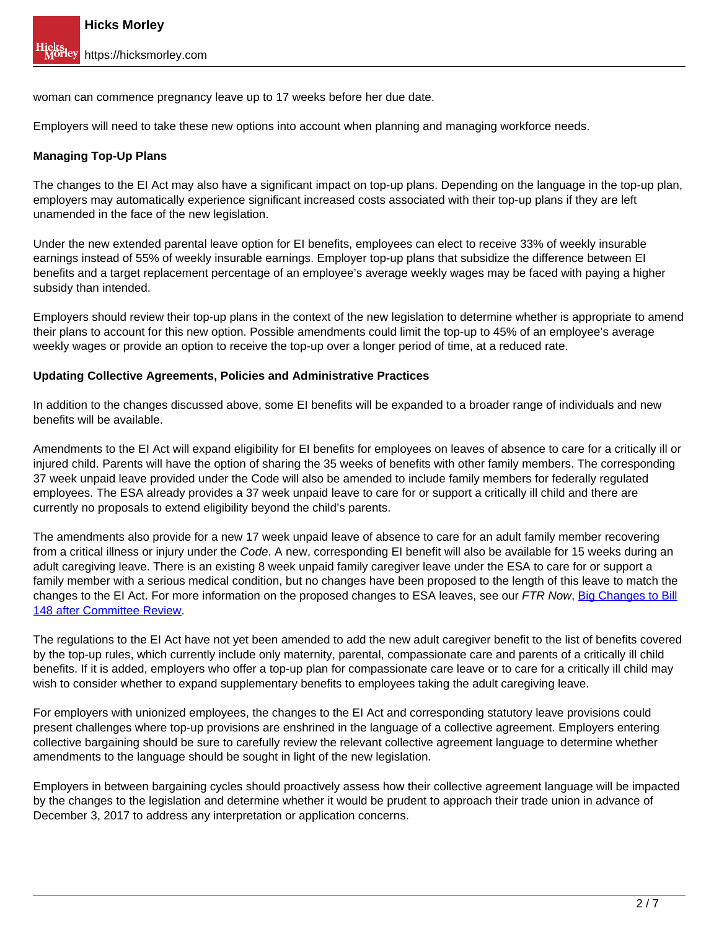woman can commence pregnancy leave up to 17 weeks before her due date.

Employers will need to take these new options into account when planning and managing workforce needs.

#### **Managing Top-Up Plans**

The changes to the EI Act may also have a significant impact on top-up plans. Depending on the language in the top-up plan, employers may automatically experience significant increased costs associated with their top-up plans if they are left unamended in the face of the new legislation.

Under the new extended parental leave option for EI benefits, employees can elect to receive 33% of weekly insurable earnings instead of 55% of weekly insurable earnings. Employer top-up plans that subsidize the difference between EI benefits and a target replacement percentage of an employee's average weekly wages may be faced with paying a higher subsidy than intended.

Employers should review their top-up plans in the context of the new legislation to determine whether is appropriate to amend their plans to account for this new option. Possible amendments could limit the top-up to 45% of an employee's average weekly wages or provide an option to receive the top-up over a longer period of time, at a reduced rate.

#### **Updating Collective Agreements, Policies and Administrative Practices**

In addition to the changes discussed above, some EI benefits will be expanded to a broader range of individuals and new benefits will be available.

Amendments to the EI Act will expand eligibility for EI benefits for employees on leaves of absence to care for a critically ill or injured child. Parents will have the option of sharing the 35 weeks of benefits with other family members. The corresponding 37 week unpaid leave provided under the Code will also be amended to include family members for federally regulated employees. The ESA already provides a 37 week unpaid leave to care for or support a critically ill child and there are currently no proposals to extend eligibility beyond the child's parents.

The amendments also provide for a new 17 week unpaid leave of absence to care for an adult family member recovering from a critical illness or injury under the Code. A new, corresponding EI benefit will also be available for 15 weeks during an adult caregiving leave. There is an existing 8 week unpaid family caregiver leave under the ESA to care for or support a family member with a serious medical condition, but no changes have been proposed to the length of this leave to match the changes to the EI Act. For more information on the proposed changes to ESA leaves, see our FTR Now, Big Changes to Bill 148 after Committee Review.

The regulations to the EI Act have not yet been amended to add the new adult caregiver benefit to the list of benefits covered by the top-up rules, which currently include only maternity, parental, compassionate care and parents of a critically ill child benefits. If it is added, employers who offer a top-up plan for compassionate care leave or to care for a critically ill child may wish to consider whether to expand supplementary benefits to employees taking the adult caregiving leave.

For employers with unionized employees, the changes to the EI Act and corresponding statutory leave provisions could present challenges where top-up provisions are enshrined in the language of a collective agreement. Employers entering collective bargaining should be sure to carefully review the relevant collective agreement language to determine whether amendments to the language should be sought in light of the new legislation.

Employers in between bargaining cycles should proactively assess how their collective agreement language will be impacted by the changes to the legislation and determine whether it would be prudent to approach their trade union in advance of December 3, 2017 to address any interpretation or application concerns.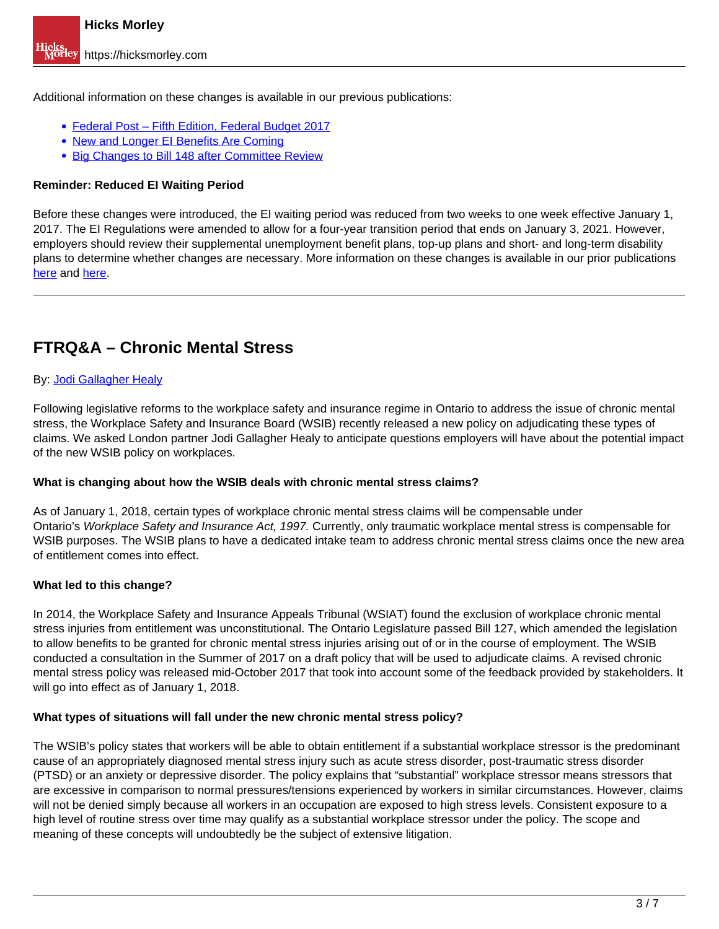Additional information on these changes is available in our previous publications:

- Federal Post Fifth Edition, Federal Budget 2017
- New and Longer EI Benefits Are Coming
- **Big Changes to Bill 148 after Committee Review**

#### **Reminder: Reduced EI Waiting Period**

Before these changes were introduced, the EI waiting period was reduced from two weeks to one week effective January 1, 2017. The EI Regulations were amended to allow for a four-year transition period that ends on January 3, 2021. However, employers should review their supplemental unemployment benefit plans, top-up plans and short- and long-term disability plans to determine whether changes are necessary. More information on these changes is available in our prior publications here and here.

# **FTRQ&A – Chronic Mental Stress**

#### By: Jodi Gallagher Healy

Following legislative reforms to the workplace safety and insurance regime in Ontario to address the issue of chronic mental stress, the Workplace Safety and Insurance Board (WSIB) recently released a new policy on adjudicating these types of claims. We asked London partner Jodi Gallagher Healy to anticipate questions employers will have about the potential impact of the new WSIB policy on workplaces.

#### **What is changing about how the WSIB deals with chronic mental stress claims?**

As of January 1, 2018, certain types of workplace chronic mental stress claims will be compensable under Ontario's Workplace Safety and Insurance Act, 1997. Currently, only traumatic workplace mental stress is compensable for WSIB purposes. The WSIB plans to have a dedicated intake team to address chronic mental stress claims once the new area of entitlement comes into effect.

#### **What led to this change?**

In 2014, the Workplace Safety and Insurance Appeals Tribunal (WSIAT) found the exclusion of workplace chronic mental stress injuries from entitlement was unconstitutional. The Ontario Legislature passed Bill 127, which amended the legislation to allow benefits to be granted for chronic mental stress injuries arising out of or in the course of employment. The WSIB conducted a consultation in the Summer of 2017 on a draft policy that will be used to adjudicate claims. A revised chronic mental stress policy was released mid-October 2017 that took into account some of the feedback provided by stakeholders. It will go into effect as of January 1, 2018.

#### **What types of situations will fall under the new chronic mental stress policy?**

The WSIB's policy states that workers will be able to obtain entitlement if a substantial workplace stressor is the predominant cause of an appropriately diagnosed mental stress injury such as acute stress disorder, post-traumatic stress disorder (PTSD) or an anxiety or depressive disorder. The policy explains that "substantial" workplace stressor means stressors that are excessive in comparison to normal pressures/tensions experienced by workers in similar circumstances. However, claims will not be denied simply because all workers in an occupation are exposed to high stress levels. Consistent exposure to a high level of routine stress over time may qualify as a substantial workplace stressor under the policy. The scope and meaning of these concepts will undoubtedly be the subject of extensive litigation.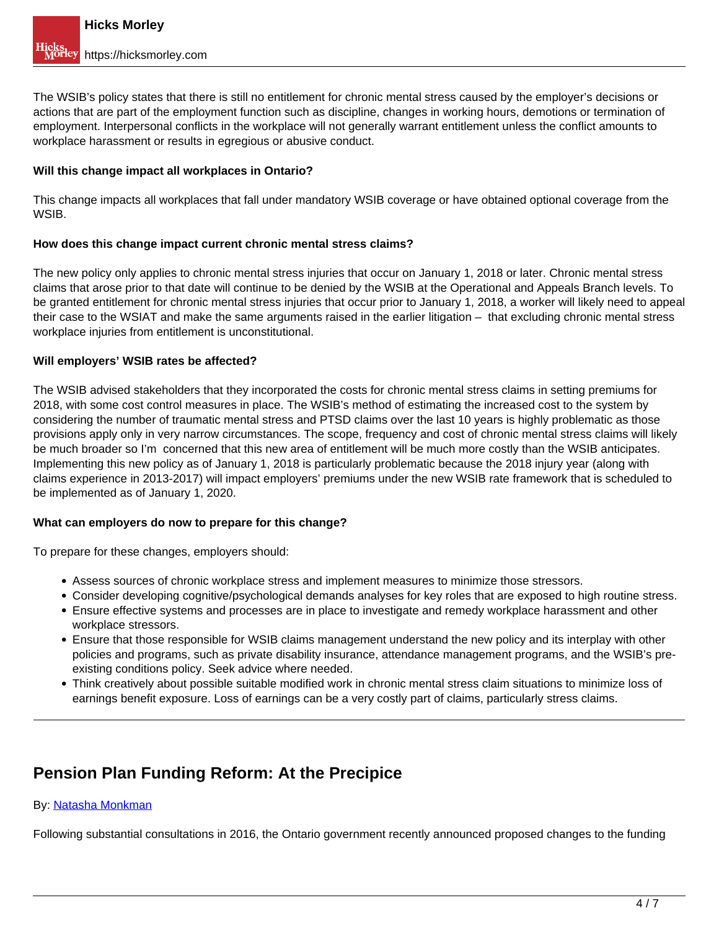The WSIB's policy states that there is still no entitlement for chronic mental stress caused by the employer's decisions or actions that are part of the employment function such as discipline, changes in working hours, demotions or termination of employment. Interpersonal conflicts in the workplace will not generally warrant entitlement unless the conflict amounts to workplace harassment or results in egregious or abusive conduct.

#### **Will this change impact all workplaces in Ontario?**

This change impacts all workplaces that fall under mandatory WSIB coverage or have obtained optional coverage from the WSIB.

#### **How does this change impact current chronic mental stress claims?**

The new policy only applies to chronic mental stress injuries that occur on January 1, 2018 or later. Chronic mental stress claims that arose prior to that date will continue to be denied by the WSIB at the Operational and Appeals Branch levels. To be granted entitlement for chronic mental stress injuries that occur prior to January 1, 2018, a worker will likely need to appeal their case to the WSIAT and make the same arguments raised in the earlier litigation – that excluding chronic mental stress workplace injuries from entitlement is unconstitutional.

#### **Will employers' WSIB rates be affected?**

The WSIB advised stakeholders that they incorporated the costs for chronic mental stress claims in setting premiums for 2018, with some cost control measures in place. The WSIB's method of estimating the increased cost to the system by considering the number of traumatic mental stress and PTSD claims over the last 10 years is highly problematic as those provisions apply only in very narrow circumstances. The scope, frequency and cost of chronic mental stress claims will likely be much broader so I'm concerned that this new area of entitlement will be much more costly than the WSIB anticipates. Implementing this new policy as of January 1, 2018 is particularly problematic because the 2018 injury year (along with claims experience in 2013-2017) will impact employers' premiums under the new WSIB rate framework that is scheduled to be implemented as of January 1, 2020.

#### **What can employers do now to prepare for this change?**

To prepare for these changes, employers should:

- Assess sources of chronic workplace stress and implement measures to minimize those stressors.
- Consider developing cognitive/psychological demands analyses for key roles that are exposed to high routine stress.
- Ensure effective systems and processes are in place to investigate and remedy workplace harassment and other workplace stressors.
- Ensure that those responsible for WSIB claims management understand the new policy and its interplay with other policies and programs, such as private disability insurance, attendance management programs, and the WSIB's preexisting conditions policy. Seek advice where needed.
- Think creatively about possible suitable modified work in chronic mental stress claim situations to minimize loss of earnings benefit exposure. Loss of earnings can be a very costly part of claims, particularly stress claims.

# **Pension Plan Funding Reform: At the Precipice**

#### By: Natasha Monkman

Following substantial consultations in 2016, the Ontario government recently announced proposed changes to the funding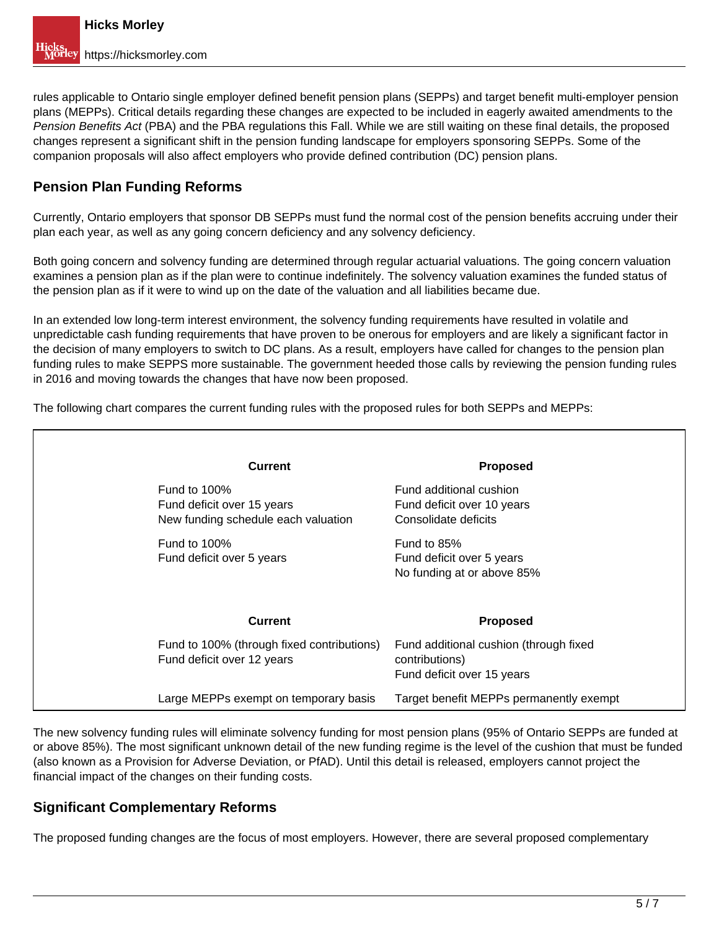rules applicable to Ontario single employer defined benefit pension plans (SEPPs) and target benefit multi-employer pension plans (MEPPs). Critical details regarding these changes are expected to be included in eagerly awaited amendments to the Pension Benefits Act (PBA) and the PBA regulations this Fall. While we are still waiting on these final details, the proposed changes represent a significant shift in the pension funding landscape for employers sponsoring SEPPs. Some of the companion proposals will also affect employers who provide defined contribution (DC) pension plans.

## **Pension Plan Funding Reforms**

Currently, Ontario employers that sponsor DB SEPPs must fund the normal cost of the pension benefits accruing under their plan each year, as well as any going concern deficiency and any solvency deficiency.

Both going concern and solvency funding are determined through regular actuarial valuations. The going concern valuation examines a pension plan as if the plan were to continue indefinitely. The solvency valuation examines the funded status of the pension plan as if it were to wind up on the date of the valuation and all liabilities became due.

In an extended low long-term interest environment, the solvency funding requirements have resulted in volatile and unpredictable cash funding requirements that have proven to be onerous for employers and are likely a significant factor in the decision of many employers to switch to DC plans. As a result, employers have called for changes to the pension plan funding rules to make SEPPS more sustainable. The government heeded those calls by reviewing the pension funding rules in 2016 and moving towards the changes that have now been proposed.

The following chart compares the current funding rules with the proposed rules for both SEPPs and MEPPs:

| <b>Current</b>                                                                       | <b>Proposed</b>                                                                        |
|--------------------------------------------------------------------------------------|----------------------------------------------------------------------------------------|
| Fund to $100\%$<br>Fund deficit over 15 years<br>New funding schedule each valuation | Fund additional cushion<br>Fund deficit over 10 years<br>Consolidate deficits          |
| Fund to $100\%$<br>Fund deficit over 5 years                                         | Fund to 85%<br>Fund deficit over 5 years<br>No funding at or above 85%                 |
| <b>Current</b>                                                                       | <b>Proposed</b>                                                                        |
| Fund to 100% (through fixed contributions)<br>Fund deficit over 12 years             | Fund additional cushion (through fixed<br>contributions)<br>Fund deficit over 15 years |
| Large MEPPs exempt on temporary basis                                                | Target benefit MEPPs permanently exempt                                                |

The new solvency funding rules will eliminate solvency funding for most pension plans (95% of Ontario SEPPs are funded at or above 85%). The most significant unknown detail of the new funding regime is the level of the cushion that must be funded (also known as a Provision for Adverse Deviation, or PfAD). Until this detail is released, employers cannot project the financial impact of the changes on their funding costs.

### **Significant Complementary Reforms**

The proposed funding changes are the focus of most employers. However, there are several proposed complementary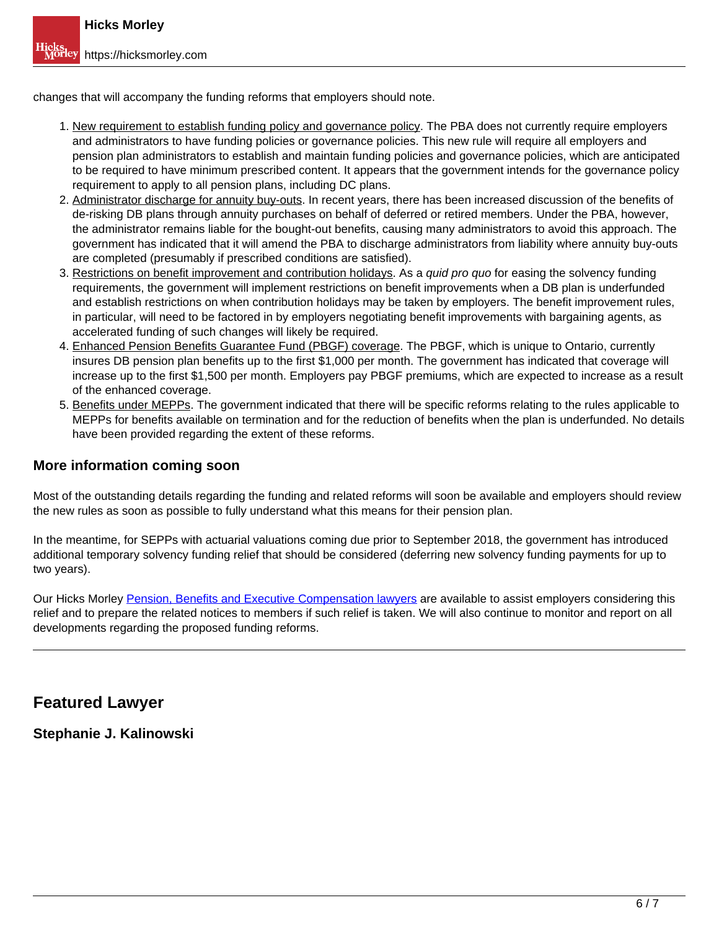changes that will accompany the funding reforms that employers should note.

- 1. New requirement to establish funding policy and governance policy. The PBA does not currently require employers and administrators to have funding policies or governance policies. This new rule will require all employers and pension plan administrators to establish and maintain funding policies and governance policies, which are anticipated to be required to have minimum prescribed content. It appears that the government intends for the governance policy requirement to apply to all pension plans, including DC plans.
- 2. Administrator discharge for annuity buy-outs. In recent years, there has been increased discussion of the benefits of de-risking DB plans through annuity purchases on behalf of deferred or retired members. Under the PBA, however, the administrator remains liable for the bought-out benefits, causing many administrators to avoid this approach. The government has indicated that it will amend the PBA to discharge administrators from liability where annuity buy-outs are completed (presumably if prescribed conditions are satisfied).
- 3. Restrictions on benefit improvement and contribution holidays. As a quid pro quo for easing the solvency funding requirements, the government will implement restrictions on benefit improvements when a DB plan is underfunded and establish restrictions on when contribution holidays may be taken by employers. The benefit improvement rules, in particular, will need to be factored in by employers negotiating benefit improvements with bargaining agents, as accelerated funding of such changes will likely be required.
- 4. Enhanced Pension Benefits Guarantee Fund (PBGF) coverage. The PBGF, which is unique to Ontario, currently insures DB pension plan benefits up to the first \$1,000 per month. The government has indicated that coverage will increase up to the first \$1,500 per month. Employers pay PBGF premiums, which are expected to increase as a result of the enhanced coverage.
- 5. Benefits under MEPPs. The government indicated that there will be specific reforms relating to the rules applicable to MEPPs for benefits available on termination and for the reduction of benefits when the plan is underfunded. No details have been provided regarding the extent of these reforms.

### **More information coming soon**

Most of the outstanding details regarding the funding and related reforms will soon be available and employers should review the new rules as soon as possible to fully understand what this means for their pension plan.

In the meantime, for SEPPs with actuarial valuations coming due prior to September 2018, the government has introduced additional temporary solvency funding relief that should be considered (deferring new solvency funding payments for up to two years).

Our Hicks Morley Pension, Benefits and Executive Compensation lawyers are available to assist employers considering this relief and to prepare the related notices to members if such relief is taken. We will also continue to monitor and report on all developments regarding the proposed funding reforms.

## **Featured Lawyer**

**Stephanie J. Kalinowski**